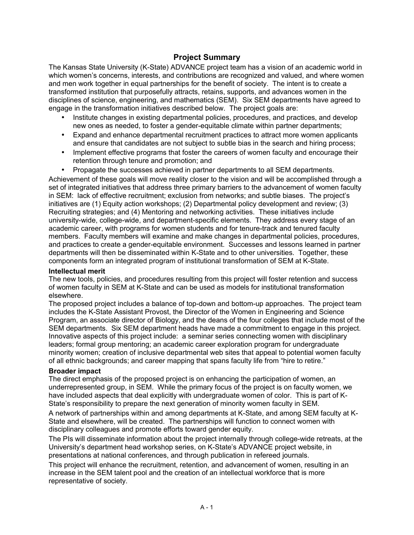# **Project Summary**

The Kansas State University (K-State) ADVANCE project team has a vision of an academic world in which women's concerns, interests, and contributions are recognized and valued, and where women and men work together in equal partnerships for the benefit of society. The intent is to create a transformed institution that purposefully attracts, retains, supports, and advances women in the disciplines of science, engineering, and mathematics (SEM). Six SEM departments have agreed to engage in the transformation initiatives described below. The project goals are:

- Institute changes in existing departmental policies, procedures, and practices, and develop new ones as needed, to foster a gender-equitable climate within partner departments;
- Expand and enhance departmental recruitment practices to attract more women applicants and ensure that candidates are not subject to subtle bias in the search and hiring process;
- Implement effective programs that foster the careers of women faculty and encourage their retention through tenure and promotion; and
- Propagate the successes achieved in partner departments to all SEM departments.

Achievement of these goals will move reality closer to the vision and will be accomplished through a set of integrated initiatives that address three primary barriers to the advancement of women faculty in SEM: lack of effective recruitment; exclusion from networks; and subtle biases. The projectís initiatives are (1) Equity action workshops; (2) Departmental policy development and review; (3) Recruiting strategies; and (4) Mentoring and networking activities. These initiatives include university-wide, college-wide, and department-specific elements. They address every stage of an academic career, with programs for women students and for tenure-track and tenured faculty members. Faculty members will examine and make changes in departmental policies, procedures, and practices to create a gender-equitable environment. Successes and lessons learned in partner departments will then be disseminated within K-State and to other universities. Together, these components form an integrated program of institutional transformation of SEM at K-State.

#### **Intellectual merit**

The new tools, policies, and procedures resulting from this project will foster retention and success of women faculty in SEM at K-State and can be used as models for institutional transformation elsewhere.

The proposed project includes a balance of top-down and bottom-up approaches. The project team includes the K-State Assistant Provost, the Director of the Women in Engineering and Science Program, an associate director of Biology, and the deans of the four colleges that include most of the SEM departments. Six SEM department heads have made a commitment to engage in this project. Innovative aspects of this project include: a seminar series connecting women with disciplinary leaders; formal group mentoring; an academic career exploration program for undergraduate minority women; creation of inclusive departmental web sites that appeal to potential women faculty of all ethnic backgrounds; and career mapping that spans faculty life from "hire to retire."

#### **Broader impact**

The direct emphasis of the proposed project is on enhancing the participation of women, an underrepresented group, in SEM. While the primary focus of the project is on faculty women, we have included aspects that deal explicitly with undergraduate women of color. This is part of K-State's responsibility to prepare the next generation of minority women faculty in SEM.

A network of partnerships within and among departments at K-State, and among SEM faculty at K-State and elsewhere, will be created. The partnerships will function to connect women with disciplinary colleagues and promote efforts toward gender equity.

The PIs will disseminate information about the project internally through college-wide retreats, at the Universityís department head workshop series, on K-Stateís ADVANCE project website, in presentations at national conferences, and through publication in refereed journals.

This project will enhance the recruitment, retention, and advancement of women, resulting in an increase in the SEM talent pool and the creation of an intellectual workforce that is more representative of society.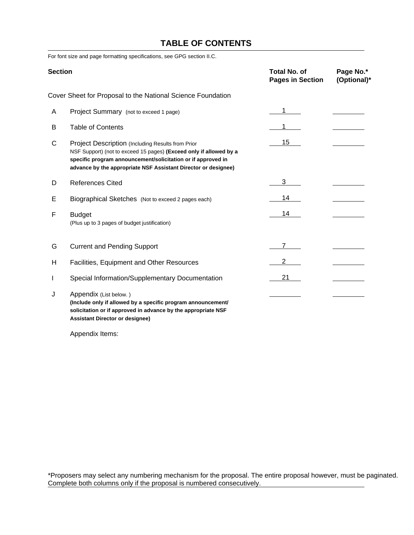# **TABLE OF CONTENTS**

For font size and page formatting specifications, see GPG section II.C.

| <b>Section</b> |                                                                                                                                                                                                                                                           | Total No. of<br><b>Pages in Section</b> | Page No.*<br>(Optional)* |
|----------------|-----------------------------------------------------------------------------------------------------------------------------------------------------------------------------------------------------------------------------------------------------------|-----------------------------------------|--------------------------|
|                | Cover Sheet for Proposal to the National Science Foundation                                                                                                                                                                                               |                                         |                          |
| A              | Project Summary (not to exceed 1 page)                                                                                                                                                                                                                    | 1                                       |                          |
| В              | <b>Table of Contents</b>                                                                                                                                                                                                                                  | 1.                                      |                          |
| C              | Project Description (Including Results from Prior<br>NSF Support) (not to exceed 15 pages) (Exceed only if allowed by a<br>specific program announcement/solicitation or if approved in<br>advance by the appropriate NSF Assistant Director or designee) | 15                                      |                          |
| D              | <b>References Cited</b>                                                                                                                                                                                                                                   | 3                                       |                          |
| Е              | Biographical Sketches (Not to exceed 2 pages each)                                                                                                                                                                                                        | 14                                      |                          |
| F              | <b>Budget</b><br>(Plus up to 3 pages of budget justification)                                                                                                                                                                                             | 14                                      |                          |
| G              | <b>Current and Pending Support</b>                                                                                                                                                                                                                        | $\overline{7}$                          |                          |
| H              | Facilities, Equipment and Other Resources                                                                                                                                                                                                                 | $\overline{2}$                          |                          |
| L              | Special Information/Supplementary Documentation                                                                                                                                                                                                           | 21                                      |                          |
| J              | Appendix (List below.)<br>(Include only if allowed by a specific program announcement/<br>solicitation or if approved in advance by the appropriate NSF<br><b>Assistant Director or designee)</b>                                                         |                                         |                          |

Appendix Items:

\*Proposers may select any numbering mechanism for the proposal. The entire proposal however, must be paginated. Complete both columns only if the proposal is numbered consecutively.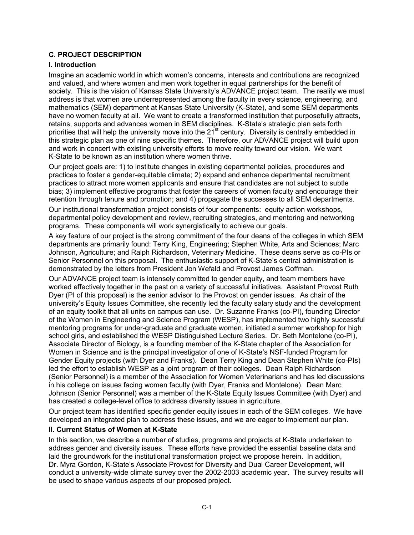### **C. PROJECT DESCRIPTION**

### **I. Introduction**

Imagine an academic world in which womenís concerns, interests and contributions are recognized and valued, and where women and men work together in equal partnerships for the benefit of society. This is the vision of Kansas State University's ADVANCE project team. The reality we must address is that women are underrepresented among the faculty in every science, engineering, and mathematics (SEM) department at Kansas State University (K-State), and some SEM departments have no women faculty at all. We want to create a transformed institution that purposefully attracts, retains, supports and advances women in SEM disciplines. K-State's strategic plan sets forth priorities that will help the university move into the 21<sup>st</sup> century. Diversity is centrally embedded in this strategic plan as one of nine specific themes. Therefore, our ADVANCE project will build upon and work in concert with existing university efforts to move reality toward our vision. We want K-State to be known as an institution where women thrive.

Our project goals are: 1) to institute changes in existing departmental policies, procedures and practices to foster a gender-equitable climate; 2) expand and enhance departmental recruitment practices to attract more women applicants and ensure that candidates are not subject to subtle bias; 3) implement effective programs that foster the careers of women faculty and encourage their retention through tenure and promotion; and 4) propagate the successes to all SEM departments.

Our institutional transformation project consists of four components: equity action workshops, departmental policy development and review, recruiting strategies, and mentoring and networking programs. These components will work synergistically to achieve our goals.

A key feature of our project is the strong commitment of the four deans of the colleges in which SEM departments are primarily found: Terry King, Engineering; Stephen White, Arts and Sciences; Marc Johnson, Agriculture; and Ralph Richardson, Veterinary Medicine. These deans serve as co-PIs or Senior Personnel on this proposal. The enthusiastic support of K-State's central administration is demonstrated by the letters from President Jon Wefald and Provost James Coffman.

Our ADVANCE project team is intensely committed to gender equity, and team members have worked effectively together in the past on a variety of successful initiatives. Assistant Provost Ruth Dyer (PI of this proposal) is the senior advisor to the Provost on gender issues. As chair of the universityís Equity Issues Committee, she recently led the faculty salary study and the development of an equity toolkit that all units on campus can use. Dr. Suzanne Franks (co-PI), founding Director of the Women in Engineering and Science Program (WESP), has implemented two highly successful mentoring programs for under-graduate and graduate women, initiated a summer workshop for high school girls, and established the WESP Distinguished Lecture Series. Dr. Beth Montelone (co-PI), Associate Director of Biology, is a founding member of the K-State chapter of the Association for Women in Science and is the principal investigator of one of K-State's NSF-funded Program for Gender Equity projects (with Dyer and Franks). Dean Terry King and Dean Stephen White (co-PIs) led the effort to establish WESP as a joint program of their colleges. Dean Ralph Richardson (Senior Personnel) is a member of the Association for Women Veterinarians and has led discussions in his college on issues facing women faculty (with Dyer, Franks and Montelone). Dean Marc Johnson (Senior Personnel) was a member of the K-State Equity Issues Committee (with Dyer) and has created a college-level office to address diversity issues in agriculture.

Our project team has identified specific gender equity issues in each of the SEM colleges. We have developed an integrated plan to address these issues, and we are eager to implement our plan.

#### **II. Current Status of Women at K-State**

In this section, we describe a number of studies, programs and projects at K-State undertaken to address gender and diversity issues. These efforts have provided the essential baseline data and laid the groundwork for the institutional transformation project we propose herein. In addition, Dr. Myra Gordon, K-Stateís Associate Provost for Diversity and Dual Career Development, will conduct a university-wide climate survey over the 2002-2003 academic year. The survey results will be used to shape various aspects of our proposed project.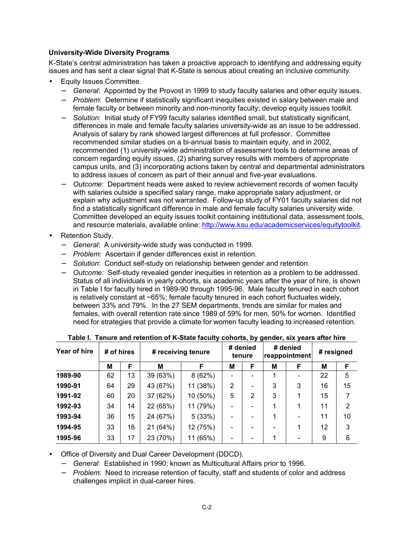### **University-Wide Diversity Programs**

K-State's central administration has taken a proactive approach to identifying and addressing equity issues and has sent a clear signal that K-State is serious about creating an inclusive community.

- Equity Issues Committee.
	- − *General*: Appointed by the Provost in 1999 to study faculty salaries and other equity issues.
	- − *Problem*: Determine if statistically significant inequities existed in salary between male and female faculty or between minority and non-minority faculty; develop equity issues toolkit.
	- − *Solution*: Initial study of FY99 faculty salaries identified small, but statistically significant, differences in male and female faculty salaries university-wide as an issue to be addressed. Analysis of salary by rank showed largest differences at full professor. Committee recommended similar studies on a bi-annual basis to maintain equity, and in 2002, recommended (1) university-wide administration of assessment tools to determine areas of concern regarding equity issues, (2) sharing survey results with members of appropriate campus units, and (3) incorporating actions taken by central and departmental administrators to address issues of concern as part of their annual and five-year evaluations.
	- − *Outcome*: Department heads were asked to review achievement records of women faculty with salaries outside a specified salary range, make appropriate salary adjustment, or explain why adjustment was not warranted. Follow-up study of FY01 faculty salaries did not find a statistically significant difference in male and female faculty salaries university wide. Committee developed an equity issues toolkit containing institutional data, assessment tools, and resource materials, available online: http://www.ksu.edu/academicservices/equitytoolkit.
- Retention Study.
	- − *General*: A university-wide study was conducted in 1999.
	- − *Problem*: Ascertain if gender differences exist in retention.
	- − *Solution*: Conduct self-study on relationship between gender and retention.
	- − *Outcome:* Self-study revealed gender inequities in retention as a problem to be addressed. Status of all individuals in yearly cohorts, six academic years after the year of hire, is shown in Table I for faculty hired in 1989-90 through 1995-96. Male faculty tenured in each cohort is relatively constant at ~65%; female faculty tenured in each cohort fluctuates widely, between 33% and 79%. In the 27 SEM departments, trends are similar for males and females, with overall retention rate since 1989 of 59% for men, 50% for women. Identified need for strategies that provide a climate for women faculty leading to increased retention.

| Year of hire | # of hires |    |          | # receiving tenure |   |   |   | # denied<br>reappointment    | # resigned |    |  |
|--------------|------------|----|----------|--------------------|---|---|---|------------------------------|------------|----|--|
|              | M          | F  | M        | F                  | M | F | M | F                            | M          | F  |  |
| 1989-90      | 62         | 13 | 39 (63%) | 8(62%)             |   |   | 1 |                              | 22         | 5  |  |
| 1990-91      | 64         | 29 | 43 (67%) | 11 (38%)           | 2 |   | 3 | 3                            | 16         | 15 |  |
| 1991-92      | 60         | 20 | 37 (62%) | 10 (50%)           | 5 | 2 | 3 | 1                            | 15         | 7  |  |
| 1992-93      | 34         | 14 | 22 (65%) | 11 (79%)           |   |   | 1 | 1                            | 11         | 2  |  |
| 1993-94      | 36         | 15 | 24 (67%) | 5(33%)             |   |   | 1 | $\qquad \qquad \blacksquare$ | 11         | 10 |  |
| 1994-95      | 33         | 16 | 21 (64%) | 12 (75%)           |   |   | - | 1                            | 12         | 3  |  |
| 1995-96      | 33         | 17 | 23 (70%) | (65%)<br>11        |   |   | 1 | $\overline{\phantom{0}}$     | 9          | 6  |  |

• Office of Diversity and Dual Career Development (DDCD).

− *General*: Established in 1990; known as Multicultural Affairs prior to 1996.

− *Problem*: Need to increase retention of faculty, staff and students of color and address challenges implicit in dual-career hires.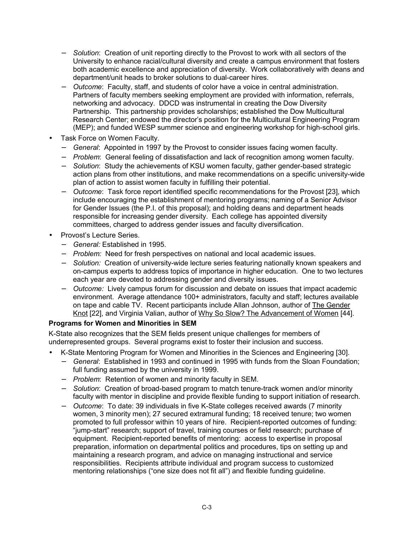- − *Solution*: Creation of unit reporting directly to the Provost to work with all sectors of the University to enhance racial/cultural diversity and create a campus environment that fosters both academic excellence and appreciation of diversity. Work collaboratively with deans and department/unit heads to broker solutions to dual-career hires.
- − *Outcome*: Faculty, staff, and students of color have a voice in central administration. Partners of faculty members seeking employment are provided with information, referrals, networking and advocacy. DDCD was instrumental in creating the Dow Diversity Partnership. This partnership provides scholarships; established the Dow Multicultural Research Center; endowed the director's position for the Multicultural Engineering Program (MEP); and funded WESP summer science and engineering workshop for high-school girls.
- Task Force on Women Faculty.
	- − *General*: Appointed in 1997 by the Provost to consider issues facing women faculty.
	- − *Problem*: General feeling of dissatisfaction and lack of recognition among women faculty.
	- − *Solution*: Study the achievements of KSU women faculty, gather gender-based strategic action plans from other institutions, and make recommendations on a specific university-wide plan of action to assist women faculty in fulfilling their potential.
	- − *Outcome*: Task force report identified specific recommendations for the Provost [23], which include encouraging the establishment of mentoring programs; naming of a Senior Advisor for Gender Issues (the P.I. of this proposal); and holding deans and department heads responsible for increasing gender diversity. Each college has appointed diversity committees, charged to address gender issues and faculty diversification.
- **Provost's Lecture Series.** 
	- − *General:* Established in 1995.
	- − *Problem:* Need for fresh perspectives on national and local academic issues.
	- − *Solution:* Creation of university-wide lecture series featuring nationally known speakers and on-campus experts to address topics of importance in higher education. One to two lectures each year are devoted to addressing gender and diversity issues.
	- − *Outcome:* Lively campus forum for discussion and debate on issues that impact academic environment. Average attendance 100+ administrators, faculty and staff; lectures available on tape and cable TV. Recent participants include Allan Johnson, author of The Gender Knot [22], and Virginia Valian, author of Why So Slow? The Advancement of Women [44].

### **Programs for Women and Minorities in SEM**

K-State also recognizes that the SEM fields present unique challenges for members of underrepresented groups. Several programs exist to foster their inclusion and success.

- K-State Mentoring Program for Women and Minorities in the Sciences and Engineering [30].
	- − *General*: Established in 1993 and continued in 1995 with funds from the Sloan Foundation; full funding assumed by the university in 1999.
	- − *Problem*: Retention of women and minority faculty in SEM.
	- − *Solution*: Creation of broad-based program to match tenure-track women and/or minority faculty with mentor in discipline and provide flexible funding to support initiation of research.
	- − *Outcome*: To date: 39 individuals in five K-State colleges received awards (7 minority women, 3 minority men); 27 secured extramural funding; 18 received tenure; two women promoted to full professor within 10 years of hire. Recipient-reported outcomes of funding: "jump-start" research; support of travel, training courses or field research; purchase of equipment. Recipient-reported benefits of mentoring: access to expertise in proposal preparation, information on departmental politics and procedures, tips on setting up and maintaining a research program, and advice on managing instructional and service responsibilities. Recipients attribute individual and program success to customized mentoring relationships ("one size does not fit all") and flexible funding guideline.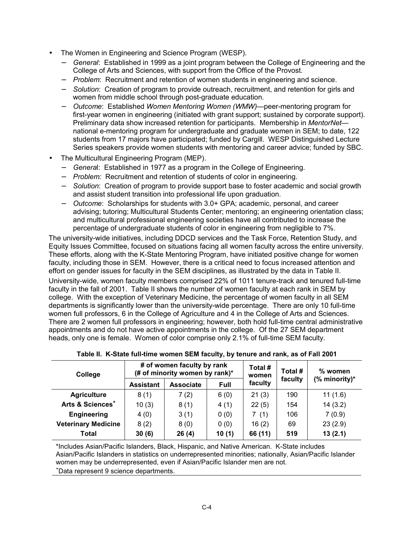- The Women in Engineering and Science Program (WESP).
	- − *General*: Established in 1999 as a joint program between the College of Engineering and the College of Arts and Sciences, with support from the Office of the Provost.
	- − *Problem*: Recruitment and retention of women students in engineering and science.
	- − *Solution*: Creation of program to provide outreach, recruitment, and retention for girls and women from middle school through post-graduate education.
	- Outcome: Established *Women Mentoring Women (WMW)*—peer-mentoring program for first-year women in engineering (initiated with grant support; sustained by corporate support). Preliminary data show increased retention for participants. Membership in *MentorNet* national e-mentoring program for undergraduate and graduate women in SEM; to date, 122 students from 17 majors have participated; funded by Cargill. WESP Distinguished Lecture Series speakers provide women students with mentoring and career advice; funded by SBC.
- The Multicultural Engineering Program (MEP).
	- − *Genera*l: Established in 1977 as a program in the College of Engineering.
	- − *Problem:* Recruitment and retention of students of color in engineering.
	- − *Solution*: Creation of program to provide support base to foster academic and social growth and assist student transition into professional life upon graduation.
	- − *Outcome*: Scholarships for students with 3.0+ GPA; academic, personal, and career advising; tutoring; Multicultural Students Center; mentoring; an engineering orientation class; and multicultural professional engineering societies have all contributed to increase the percentage of undergraduate students of color in engineering from negligible to 7%.

The university-wide initiatives, including DDCD services and the Task Force, Retention Study, and Equity Issues Committee, focused on situations facing all women faculty across the entire university. These efforts, along with the K-State Mentoring Program, have initiated positive change for women faculty, including those in SEM. However, there is a critical need to focus increased attention and effort on gender issues for faculty in the SEM disciplines, as illustrated by the data in Table II.

University-wide, women faculty members comprised 22% of 1011 tenure-track and tenured full-time faculty in the fall of 2001. Table II shows the number of women faculty at each rank in SEM by college. With the exception of Veterinary Medicine, the percentage of women faculty in all SEM departments is significantly lower than the university-wide percentage. There are only 10 full-time women full professors, 6 in the College of Agriculture and 4 in the College of Arts and Sciences. There are 2 women full professors in engineering; however, both hold full-time central administrative appointments and do not have active appointments in the college. Of the 27 SEM department heads, only one is female. Women of color comprise only 2.1% of full-time SEM faculty.

| College                      |                  | # of women faculty by rank<br>(# of minority women by rank)* |       | Total #<br>women | Total # | % women        |  |
|------------------------------|------------------|--------------------------------------------------------------|-------|------------------|---------|----------------|--|
|                              | <b>Assistant</b> | <b>Associate</b>                                             | Full  |                  | faculty | $%$ minority)* |  |
| <b>Agriculture</b>           | 8(1)             | 7(2)                                                         | 6(0)  | 21(3)            | 190     | 11(1.6)        |  |
| Arts & Sciences <sup>+</sup> | 10(3)            | 8(1)                                                         | 4(1)  | 22(5)            | 154     | 14(3.2)        |  |
| Engineering                  | 4(0)             | 3(1)                                                         | 0(0)  | 7(1)             | 106     | 7(0.9)         |  |
| <b>Veterinary Medicine</b>   | 8(2)             | 8(0)                                                         | 0(0)  | 16(2)            | 69      | 23(2.9)        |  |
| Total                        | 30(6)            | 26(4)                                                        | 10(1) | 66 (11)          | 519     | 13(2.1)        |  |

|  | Table II. K-State full-time women SEM faculty, by tenure and rank, as of Fall 2001 |  |
|--|------------------------------------------------------------------------------------|--|
|--|------------------------------------------------------------------------------------|--|

\*Includes Asian/Pacific Islanders, Black, Hispanic, and Native American. K-State includes Asian/Pacific Islanders in statistics on underrepresented minorities; nationally, Asian/Pacific Islander women may be underrepresented, even if Asian/Pacific Islander men are not.

+ Data represent 9 science departments.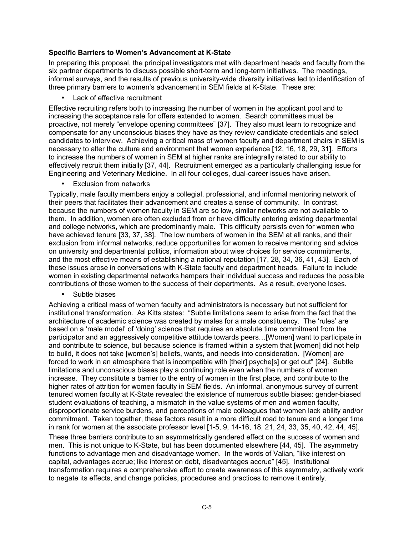#### **Specific Barriers to Women's Advancement at K-State**

In preparing this proposal, the principal investigators met with department heads and faculty from the six partner departments to discuss possible short-term and long-term initiatives. The meetings, informal surveys, and the results of previous university-wide diversity initiatives led to identification of three primary barriers to womenís advancement in SEM fields at K-State. These are:

• Lack of effective recruitment

Effective recruiting refers both to increasing the number of women in the applicant pool and to increasing the acceptance rate for offers extended to women. Search committees must be proactive, not merely "envelope opening committees" [37]. They also must learn to recognize and compensate for any unconscious biases they have as they review candidate credentials and select candidates to interview. Achieving a critical mass of women faculty and department chairs in SEM is necessary to alter the culture and environment that women experience [12, 16, 18, 29, 31]. Efforts to increase the numbers of women in SEM at higher ranks are integrally related to our ability to effectively recruit them initially [37, 44]. Recruitment emerged as a particularly challenging issue for Engineering and Veterinary Medicine. In all four colleges, dual-career issues have arisen.

**Exclusion from networks** 

Typically, male faculty members enjoy a collegial, professional, and informal mentoring network of their peers that facilitates their advancement and creates a sense of community. In contrast, because the numbers of women faculty in SEM are so low, similar networks are not available to them. In addition, women are often excluded from or have difficulty entering existing departmental and college networks, which are predominantly male. This difficulty persists even for women who have achieved tenure [33, 37, 38]. The low numbers of women in the SEM at all ranks, and their exclusion from informal networks, reduce opportunities for women to receive mentoring and advice on university and departmental politics, information about wise choices for service commitments, and the most effective means of establishing a national reputation [17, 28, 34, 36, 41, 43]. Each of these issues arose in conversations with K-State faculty and department heads. Failure to include women in existing departmental networks hampers their individual success and reduces the possible contributions of those women to the success of their departments. As a result, everyone loses.

• Subtle biases

Achieving a critical mass of women faculty and administrators is necessary but not sufficient for institutional transformation. As Kitts states: "Subtle limitations seem to arise from the fact that the architecture of academic science was created by males for a male constituency. The 'rules' are based on a 'male model' of 'doing' science that requires an absolute time commitment from the participator and an aggressively competitive attitude towards peers... [Women] want to participate in and contribute to science, but because science is framed within a system that [women] did not help to build, it does not take [womenís] beliefs, wants, and needs into consideration. [Women] are forced to work in an atmosphere that is incompatible with [their] psyche[s] or get out" [24]. Subtle limitations and unconscious biases play a continuing role even when the numbers of women increase. They constitute a barrier to the entry of women in the first place, and contribute to the higher rates of attrition for women faculty in SEM fields. An informal, anonymous survey of current tenured women faculty at K-State revealed the existence of numerous subtle biases: gender-biased student evaluations of teaching, a mismatch in the value systems of men and women faculty, disproportionate service burdens, and perceptions of male colleagues that women lack ability and/or commitment. Taken together, these factors result in a more difficult road to tenure and a longer time in rank for women at the associate professor level [1-5, 9, 14-16, 18, 21, 24, 33, 35, 40, 42, 44, 45].

These three barriers contribute to an asymmetrically gendered effect on the success of women and men. This is not unique to K-State, but has been documented elsewhere [44, 45]. The asymmetry functions to advantage men and disadvantage women. In the words of Valian, "like interest on capital, advantages accrue; like interest on debt, disadvantages accrue" [45]. Institutional transformation requires a comprehensive effort to create awareness of this asymmetry, actively work to negate its effects, and change policies, procedures and practices to remove it entirely.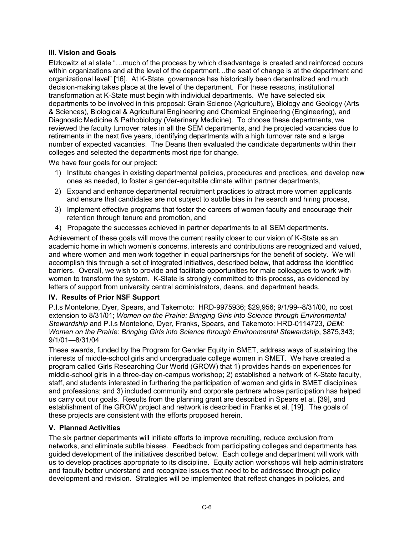### **III. Vision and Goals**

Etzkowitz et al state "...much of the process by which disadvantage is created and reinforced occurs within organizations and at the level of the department...the seat of change is at the department and organizational levelî [16]. At K-State, governance has historically been decentralized and much decision-making takes place at the level of the department. For these reasons, institutional transformation at K-State must begin with individual departments. We have selected six departments to be involved in this proposal: Grain Science (Agriculture), Biology and Geology (Arts & Sciences), Biological & Agricultural Engineering and Chemical Engineering (Engineering), and Diagnostic Medicine & Pathobiology (Veterinary Medicine). To choose these departments, we reviewed the faculty turnover rates in all the SEM departments, and the projected vacancies due to retirements in the next five years, identifying departments with a high turnover rate and a large number of expected vacancies. The Deans then evaluated the candidate departments within their colleges and selected the departments most ripe for change.

We have four goals for our project:

- 1) Institute changes in existing departmental policies, procedures and practices, and develop new ones as needed, to foster a gender-equitable climate within partner departments,
- 2) Expand and enhance departmental recruitment practices to attract more women applicants and ensure that candidates are not subject to subtle bias in the search and hiring process,
- 3) Implement effective programs that foster the careers of women faculty and encourage their retention through tenure and promotion, and
- 4) Propagate the successes achieved in partner departments to all SEM departments.

Achievement of these goals will move the current reality closer to our vision of K-State as an academic home in which womenís concerns, interests and contributions are recognized and valued, and where women and men work together in equal partnerships for the benefit of society. We will accomplish this through a set of integrated initiatives, described below, that address the identified barriers. Overall, we wish to provide and facilitate opportunities for male colleagues to work with women to transform the system. K-State is strongly committed to this process, as evidenced by letters of support from university central administrators, deans, and department heads.

#### **IV. Results of Prior NSF Support**

P.I.s Montelone, Dyer, Spears, and Takemoto: HRD-9975936; \$29,956; 9/1/99--8/31/00, no cost extension to 8/31/01; *Women on the Prairie: Bringing Girls into Science through Environmental Stewardship* and P.I.s Montelone, Dyer, Franks, Spears, and Takemoto: HRD-0114723, *DEM: Women on the Prairie: Bringing Girls into Science through Environmental Stewardship*, \$875,343;  $9/1/01 - 8/31/04$ 

These awards, funded by the Program for Gender Equity in SMET, address ways of sustaining the interests of middle-school girls and undergraduate college women in SMET. We have created a program called Girls Researching Our World (GROW) that 1) provides hands-on experiences for middle-school girls in a three-day on-campus workshop; 2) established a network of K-State faculty, staff, and students interested in furthering the participation of women and girls in SMET disciplines and professions; and 3) included community and corporate partners whose participation has helped us carry out our goals. Results from the planning grant are described in Spears et al. [39], and establishment of the GROW project and network is described in Franks et al. [19]. The goals of these projects are consistent with the efforts proposed herein.

### **V. Planned Activities**

The six partner departments will initiate efforts to improve recruiting, reduce exclusion from networks, and eliminate subtle biases. Feedback from participating colleges and departments has guided development of the initiatives described below. Each college and department will work with us to develop practices appropriate to its discipline. Equity action workshops will help administrators and faculty better understand and recognize issues that need to be addressed through policy development and revision. Strategies will be implemented that reflect changes in policies, and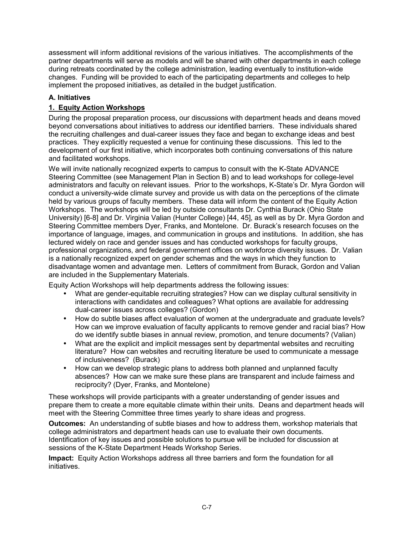assessment will inform additional revisions of the various initiatives. The accomplishments of the partner departments will serve as models and will be shared with other departments in each college during retreats coordinated by the college administration, leading eventually to institution-wide changes. Funding will be provided to each of the participating departments and colleges to help implement the proposed initiatives, as detailed in the budget justification.

## **A. Initiatives**

# **1. Equity Action Workshops**

During the proposal preparation process, our discussions with department heads and deans moved beyond conversations about initiatives to address our identified barriers. These individuals shared the recruiting challenges and dual-career issues they face and began to exchange ideas and best practices. They explicitly requested a venue for continuing these discussions. This led to the development of our first initiative, which incorporates both continuing conversations of this nature and facilitated workshops.

We will invite nationally recognized experts to campus to consult with the K-State ADVANCE Steering Committee (see Management Plan in Section B) and to lead workshops for college-level administrators and faculty on relevant issues. Prior to the workshops, K-State's Dr. Myra Gordon will conduct a university-wide climate survey and provide us with data on the perceptions of the climate held by various groups of faculty members. These data will inform the content of the Equity Action Workshops. The workshops will be led by outside consultants Dr. Cynthia Burack (Ohio State University) [6-8] and Dr. Virginia Valian (Hunter College) [44, 45], as well as by Dr. Myra Gordon and Steering Committee members Dyer, Franks, and Montelone. Dr. Burackís research focuses on the importance of language, images, and communication in groups and institutions. In addition, she has lectured widely on race and gender issues and has conducted workshops for faculty groups, professional organizations, and federal government offices on workforce diversity issues. Dr. Valian is a nationally recognized expert on gender schemas and the ways in which they function to disadvantage women and advantage men. Letters of commitment from Burack, Gordon and Valian are included in the Supplementary Materials.

Equity Action Workshops will help departments address the following issues:

- What are gender-equitable recruiting strategies? How can we display cultural sensitivity in interactions with candidates and colleagues? What options are available for addressing dual-career issues across colleges? (Gordon)
- How do subtle biases affect evaluation of women at the undergraduate and graduate levels? How can we improve evaluation of faculty applicants to remove gender and racial bias? How do we identify subtle biases in annual review, promotion, and tenure documents? (Valian)
- What are the explicit and implicit messages sent by departmental websites and recruiting literature? How can websites and recruiting literature be used to communicate a message of inclusiveness? (Burack)
- How can we develop strategic plans to address both planned and unplanned faculty absences? How can we make sure these plans are transparent and include fairness and reciprocity? (Dyer, Franks, and Montelone)

These workshops will provide participants with a greater understanding of gender issues and prepare them to create a more equitable climate within their units. Deans and department heads will meet with the Steering Committee three times yearly to share ideas and progress.

**Outcomes:** An understanding of subtle biases and how to address them, workshop materials that college administrators and department heads can use to evaluate their own documents. Identification of key issues and possible solutions to pursue will be included for discussion at sessions of the K-State Department Heads Workshop Series.

**Impact:** Equity Action Workshops address all three barriers and form the foundation for all initiatives.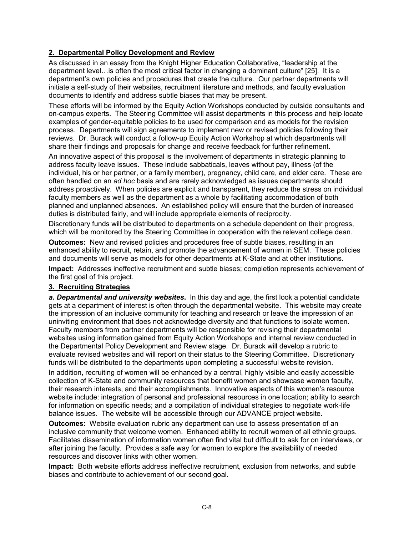### **2. Departmental Policy Development and Review**

As discussed in an essay from the Knight Higher Education Collaborative, "leadership at the department level... is often the most critical factor in changing a dominant culture"  $[25]$ . It is a departmentís own policies and procedures that create the culture. Our partner departments will initiate a self-study of their websites, recruitment literature and methods, and faculty evaluation documents to identify and address subtle biases that may be present.

These efforts will be informed by the Equity Action Workshops conducted by outside consultants and on-campus experts. The Steering Committee will assist departments in this process and help locate examples of gender-equitable policies to be used for comparison and as models for the revision process. Departments will sign agreements to implement new or revised policies following their reviews. Dr. Burack will conduct a follow-up Equity Action Workshop at which departments will share their findings and proposals for change and receive feedback for further refinement.

An innovative aspect of this proposal is the involvement of departments in strategic planning to address faculty leave issues. These include sabbaticals, leaves without pay, illness (of the individual, his or her partner, or a family member), pregnancy, child care, and elder care. These are often handled on an *ad hoc* basis and are rarely acknowledged as issues departments should address proactively. When policies are explicit and transparent, they reduce the stress on individual faculty members as well as the department as a whole by facilitating accommodation of both planned and unplanned absences. An established policy will ensure that the burden of increased duties is distributed fairly, and will include appropriate elements of reciprocity.

Discretionary funds will be distributed to departments on a schedule dependent on their progress, which will be monitored by the Steering Committee in cooperation with the relevant college dean.

**Outcomes:** New and revised policies and procedures free of subtle biases, resulting in an enhanced ability to recruit, retain, and promote the advancement of women in SEM. These policies and documents will serve as models for other departments at K-State and at other institutions.

**Impact:** Addresses ineffective recruitment and subtle biases; completion represents achievement of the first goal of this project.

#### **3. Recruiting Strategies**

*a. Departmental and university websites***.** In this day and age, the first look a potential candidate gets at a department of interest is often through the departmental website. This website may create the impression of an inclusive community for teaching and research or leave the impression of an uninviting environment that does not acknowledge diversity and that functions to isolate women. Faculty members from partner departments will be responsible for revising their departmental websites using information gained from Equity Action Workshops and internal review conducted in the Departmental Policy Development and Review stage. Dr. Burack will develop a rubric to evaluate revised websites and will report on their status to the Steering Committee. Discretionary funds will be distributed to the departments upon completing a successful website revision.

In addition, recruiting of women will be enhanced by a central, highly visible and easily accessible collection of K-State and community resources that benefit women and showcase women faculty, their research interests, and their accomplishments. Innovative aspects of this womenís resource website include: integration of personal and professional resources in one location; ability to search for information on specific needs; and a compilation of individual strategies to negotiate work-life balance issues. The website will be accessible through our ADVANCE project website.

**Outcomes:** Website evaluation rubric any department can use to assess presentation of an inclusive community that welcome women. Enhanced ability to recruit women of all ethnic groups. Facilitates dissemination of information women often find vital but difficult to ask for on interviews, or after joining the faculty. Provides a safe way for women to explore the availability of needed resources and discover links with other women.

**Impact:** Both website efforts address ineffective recruitment, exclusion from networks, and subtle biases and contribute to achievement of our second goal.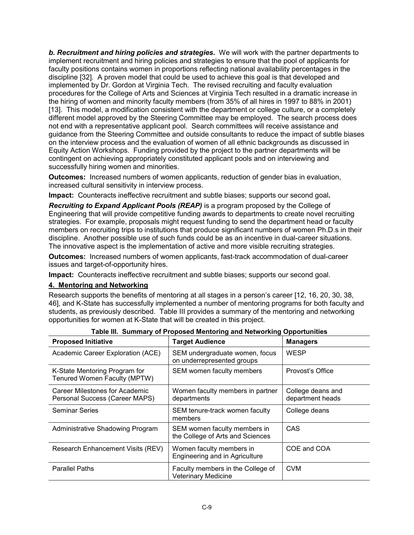*b. Recruitment and hiring policies and strategies***.** We will work with the partner departments to implement recruitment and hiring policies and strategies to ensure that the pool of applicants for faculty positions contains women in proportions reflecting national availability percentages in the discipline [32]. A proven model that could be used to achieve this goal is that developed and implemented by Dr. Gordon at Virginia Tech. The revised recruiting and faculty evaluation procedures for the College of Arts and Sciences at Virginia Tech resulted in a dramatic increase in the hiring of women and minority faculty members (from 35% of all hires in 1997 to 88% in 2001) [13]. This model, a modification consistent with the department or college culture, or a completely different model approved by the Steering Committee may be employed. The search process does not end with a representative applicant pool. Search committees will receive assistance and guidance from the Steering Committee and outside consultants to reduce the impact of subtle biases on the interview process and the evaluation of women of all ethnic backgrounds as discussed in Equity Action Workshops. Funding provided by the project to the partner departments will be contingent on achieving appropriately constituted applicant pools and on interviewing and successfully hiring women and minorities.

**Outcomes:** Increased numbers of women applicants, reduction of gender bias in evaluation, increased cultural sensitivity in interview process.

**Impact:** Counteracts ineffective recruitment and subtle biases; supports our second goal**.** 

*Recruiting to Expand Applicant Pools (REAP)* is a program proposed by the College of Engineering that will provide competitive funding awards to departments to create novel recruiting strategies. For example, proposals might request funding to send the department head or faculty members on recruiting trips to institutions that produce significant numbers of women Ph.D.s in their discipline. Another possible use of such funds could be as an incentive in dual-career situations. The innovative aspect is the implementation of active and more visible recruiting strategies.

**Outcomes:** Increased numbers of women applicants, fast-track accommodation of dual-career issues and target-of-opportunity hires.

**Impact:** Counteracts ineffective recruitment and subtle biases; supports our second goal.

#### **4. Mentoring and Networking**

Research supports the benefits of mentoring at all stages in a person's career [12, 16, 20, 30, 38, 46], and K-State has successfully implemented a number of mentoring programs for both faculty and students, as previously described. Table III provides a summary of the mentoring and networking opportunities for women at K-State that will be created in this project.

| <b>Proposed Initiative</b>                                       | <b>Target Audience</b>                                           | <b>Managers</b>                       |
|------------------------------------------------------------------|------------------------------------------------------------------|---------------------------------------|
| Academic Career Exploration (ACE)                                | SEM undergraduate women, focus<br>on underrepresented groups     | WESP                                  |
| K-State Mentoring Program for<br>Tenured Women Faculty (MPTW)    | SEM women faculty members                                        | Provost's Office                      |
| Career Milestones for Academic<br>Personal Success (Career MAPS) | Women faculty members in partner<br>departments                  | College deans and<br>department heads |
| <b>Seminar Series</b>                                            | SEM tenure-track women faculty<br>members                        | College deans                         |
| Administrative Shadowing Program                                 | SEM women faculty members in<br>the College of Arts and Sciences | CAS                                   |
| Research Enhancement Visits (REV)                                | Women faculty members in<br>Engineering and in Agriculture       | COE and COA                           |
| <b>Parallel Paths</b>                                            | Faculty members in the College of<br><b>Veterinary Medicine</b>  | <b>CVM</b>                            |

|  |  |  | Table III. Summary of Proposed Mentoring and Networking Opportunities |
|--|--|--|-----------------------------------------------------------------------|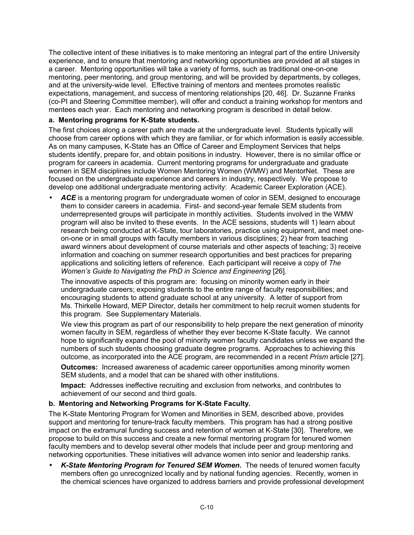The collective intent of these initiatives is to make mentoring an integral part of the entire University experience, and to ensure that mentoring and networking opportunities are provided at all stages in a career. Mentoring opportunities will take a variety of forms, such as traditional one-on-one mentoring, peer mentoring, and group mentoring, and will be provided by departments, by colleges, and at the university-wide level. Effective training of mentors and mentees promotes realistic expectations, management, and success of mentoring relationships [20, 46]. Dr. Suzanne Franks (co-PI and Steering Committee member), will offer and conduct a training workshop for mentors and mentees each year. Each mentoring and networking program is described in detail below.

### **a. Mentoring programs for K-State students.**

The first choices along a career path are made at the undergraduate level. Students typically will choose from career options with which they are familiar, or for which information is easily accessible. As on many campuses, K-State has an Office of Career and Employment Services that helps students identify, prepare for, and obtain positions in industry. However, there is no similar office or program for careers in academia. Current mentoring programs for undergraduate and graduate women in SEM disciplines include Women Mentoring Women (WMW) and MentorNet. These are focused on the undergraduate experience and careers in industry, respectively. We propose to develop one additional undergraduate mentoring activity: Academic Career Exploration (ACE).

ACE is a mentoring program for undergraduate women of color in SEM, designed to encourage them to consider careers in academia. First- and second-year female SEM students from underrepresented groups will participate in monthly activities. Students involved in the WMW program will also be invited to these events. In the ACE sessions, students will 1) learn about research being conducted at K-State, tour laboratories, practice using equipment, and meet oneon-one or in small groups with faculty members in various disciplines; 2) hear from teaching award winners about development of course materials and other aspects of teaching; 3) receive information and coaching on summer research opportunities and best practices for preparing applications and soliciting letters of reference. Each participant will receive a copy of *The Womenís Guide to Navigating the PhD in Science and Engineering* [26].

The innovative aspects of this program are: focusing on minority women early in their undergraduate careers; exposing students to the entire range of faculty responsibilities; and encouraging students to attend graduate school at any university. A letter of support from Ms. Thirkelle Howard, MEP Director, details her commitment to help recruit women students for this program. See Supplementary Materials.

We view this program as part of our responsibility to help prepare the next generation of minority women faculty in SEM, regardless of whether they ever become K-State faculty. We cannot hope to significantly expand the pool of minority women faculty candidates unless we expand the numbers of such students choosing graduate degree programs. Approaches to achieving this outcome, as incorporated into the ACE program, are recommended in a recent *Prism* article [27].

**Outcomes:** Increased awareness of academic career opportunities among minority women SEM students, and a model that can be shared with other institutions.

**Impact:** Addresses ineffective recruiting and exclusion from networks, and contributes to achievement of our second and third goals.

### **b. Mentoring and Networking Programs for K-State Faculty.**

The K-State Mentoring Program for Women and Minorities in SEM, described above, provides support and mentoring for tenure-track faculty members. This program has had a strong positive impact on the extramural funding success and retention of women at K-State [30]. Therefore, we propose to build on this success and create a new formal mentoring program for tenured women faculty members and to develop several other models that include peer and group mentoring and networking opportunities. These initiatives will advance women into senior and leadership ranks.

• *K-State Mentoring Program for Tenured SEM Women***.** The needs of tenured women faculty members often go unrecognized locally and by national funding agencies. Recently, women in the chemical sciences have organized to address barriers and provide professional development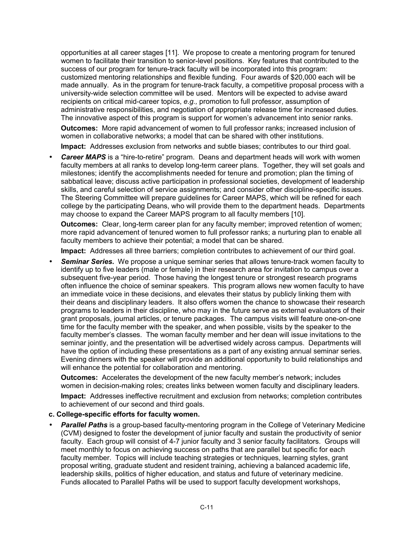opportunities at all career stages [11]. We propose to create a mentoring program for tenured women to facilitate their transition to senior-level positions. Key features that contributed to the success of our program for tenure-track faculty will be incorporated into this program: customized mentoring relationships and flexible funding. Four awards of \$20,000 each will be made annually. As in the program for tenure-track faculty, a competitive proposal process with a university-wide selection committee will be used. Mentors will be expected to advise award recipients on critical mid-career topics, *e.g.,* promotion to full professor, assumption of administrative responsibilities, and negotiation of appropriate release time for increased duties. The innovative aspect of this program is support for women's advancement into senior ranks.

**Outcomes:** More rapid advancement of women to full professor ranks; increased inclusion of women in collaborative networks; a model that can be shared with other institutions.

**Impact:** Addresses exclusion from networks and subtle biases; contributes to our third goal.

**Career MAPS** is a "hire-to-retire" program. Deans and department heads will work with women faculty members at all ranks to develop long-term career plans. Together, they will set goals and milestones; identify the accomplishments needed for tenure and promotion; plan the timing of sabbatical leave; discuss active participation in professional societies, development of leadership skills, and careful selection of service assignments; and consider other discipline-specific issues. The Steering Committee will prepare guidelines for Career MAPS, which will be refined for each college by the participating Deans, who will provide them to the department heads. Departments may choose to expand the Career MAPS program to all faculty members [10].

**Outcomes:** Clear, long-term career plan for any faculty member; improved retention of women; more rapid advancement of tenured women to full professor ranks; a nurturing plan to enable all faculty members to achieve their potential; a model that can be shared.

**Impact:** Addresses all three barriers; completion contributes to achievement of our third goal.

• *Seminar Series***.** We propose a unique seminar series that allows tenure-track women faculty to identify up to five leaders (male or female) in their research area for invitation to campus over a subsequent five-year period. Those having the longest tenure or strongest research programs often influence the choice of seminar speakers. This program allows new women faculty to have an immediate voice in these decisions, and elevates their status by publicly linking them with their deans and disciplinary leaders. It also offers women the chance to showcase their research programs to leaders in their discipline, who may in the future serve as external evaluators of their grant proposals, journal articles, or tenure packages. The campus visits will feature one-on-one time for the faculty member with the speaker, and when possible, visits by the speaker to the faculty member's classes. The woman faculty member and her dean will issue invitations to the seminar jointly, and the presentation will be advertised widely across campus. Departments will have the option of including these presentations as a part of any existing annual seminar series. Evening dinners with the speaker will provide an additional opportunity to build relationships and will enhance the potential for collaboration and mentoring.

**Outcomes:** Accelerates the development of the new faculty memberís network; includes women in decision-making roles; creates links between women faculty and disciplinary leaders. **Impact:** Addresses ineffective recruitment and exclusion from networks; completion contributes to achievement of our second and third goals.

#### **c. College-specific efforts for faculty women.**

**Parallel Paths** is a group-based faculty-mentoring program in the College of Veterinary Medicine (CVM) designed to foster the development of junior faculty and sustain the productivity of senior faculty. Each group will consist of 4-7 junior faculty and 3 senior faculty facilitators. Groups will meet monthly to focus on achieving success on paths that are parallel but specific for each faculty member. Topics will include teaching strategies or techniques, learning styles, grant proposal writing, graduate student and resident training, achieving a balanced academic life, leadership skills, politics of higher education, and status and future of veterinary medicine. Funds allocated to Parallel Paths will be used to support faculty development workshops,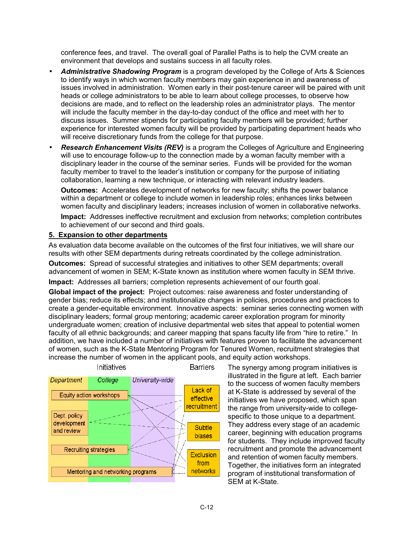conference fees, and travel. The overall goal of Parallel Paths is to help the CVM create an environment that develops and sustains success in all faculty roles.

- *Administrative Shadowing Program* is a program developed by the College of Arts & Sciences to identify ways in which women faculty members may gain experience in and awareness of issues involved in administration. Women early in their post-tenure career will be paired with unit heads or college administrators to be able to learn about college processes, to observe how decisions are made, and to reflect on the leadership roles an administrator plays. The mentor will include the faculty member in the day-to-day conduct of the office and meet with her to discuss issues. Summer stipends for participating faculty members will be provided; further experience for interested women faculty will be provided by participating department heads who will receive discretionary funds from the college for that purpose.
- *Research Enhancement Visits (REV)* is a program the Colleges of Agriculture and Engineering will use to encourage follow-up to the connection made by a woman faculty member with a disciplinary leader in the course of the seminar series. Funds will be provided for the woman faculty member to travel to the leader's institution or company for the purpose of initiating collaboration, learning a new technique, or interacting with relevant industry leaders.

**Outcomes:** Accelerates development of networks for new faculty; shifts the power balance within a department or college to include women in leadership roles; enhances links between women faculty and disciplinary leaders; increases inclusion of women in collaborative networks.

**Impact:** Addresses ineffective recruitment and exclusion from networks; completion contributes to achievement of our second and third goals.

#### **5. Expansion to other departments**

As evaluation data become available on the outcomes of the first four initiatives, we will share our results with other SEM departments during retreats coordinated by the college administration.

**Outcomes:** Spread of successful strategies and initiatives to other SEM departments; overall advancement of women in SEM; K-State known as institution where women faculty in SEM thrive.

**Impact:** Addresses all barriers; completion represents achievement of our fourth goal.

**Global impact of the project:** Project outcomes: raise awareness and foster understanding of gender bias; reduce its effects; and institutionalize changes in policies, procedures and practices to create a gender-equitable environment. Innovative aspects: seminar series connecting women with disciplinary leaders; formal group mentoring; academic career exploration program for minority undergraduate women; creation of inclusive departmental web sites that appeal to potential women faculty of all ethnic backgrounds; and career mapping that spans faculty life from "hire to retire." In addition, we have included a number of initiatives with features proven to facilitate the advancement of women, such as the K-State Mentoring Program for Tenured Women, recruitment strategies that increase the number of women in the applicant pools, and equity action workshops.



The synergy among program initiatives is illustrated in the figure at left. Each barrier to the success of women faculty members at K-State is addressed by several of the initiatives we have proposed, which span the range from university-wide to collegespecific to those unique to a department. They address every stage of an academic career, beginning with education programs for students. They include improved faculty recruitment and promote the advancement and retention of women faculty members. Together, the initiatives form an integrated program of institutional transformation of SEM at K-State.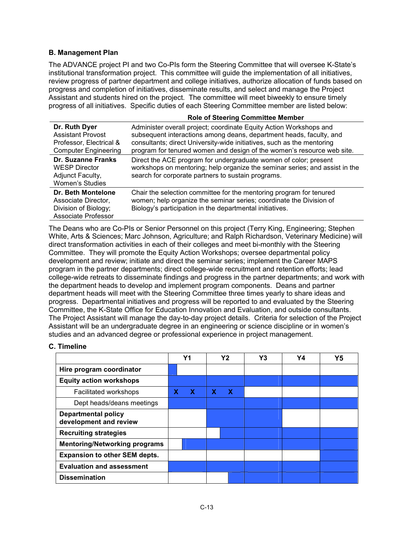### **B. Management Plan**

The ADVANCE project PI and two Co-PIs form the Steering Committee that will oversee K-State's institutional transformation project. This committee will guide the implementation of all initiatives, review progress of partner department and college initiatives, authorize allocation of funds based on progress and completion of initiatives, disseminate results, and select and manage the Project Assistant and students hired on the project. The committee will meet biweekly to ensure timely progress of all initiatives. Specific duties of each Steering Committee member are listed below:

|                                                                                                     | <b>Role of Steering Committee Member</b>                                                                                                                                                                                                                                                      |
|-----------------------------------------------------------------------------------------------------|-----------------------------------------------------------------------------------------------------------------------------------------------------------------------------------------------------------------------------------------------------------------------------------------------|
| Dr. Ruth Dyer<br><b>Assistant Provost</b><br>Professor, Electrical &<br><b>Computer Engineering</b> | Administer overall project; coordinate Equity Action Workshops and<br>subsequent interactions among deans, department heads, faculty, and<br>consultants; direct University-wide initiatives, such as the mentoring<br>program for tenured women and design of the women's resource web site. |
| Dr. Suzanne Franks<br><b>WESP Director</b><br>Adjunct Faculty,<br>Women's Studies                   | Direct the ACE program for undergraduate women of color; present<br>workshops on mentoring; help organize the seminar series; and assist in the<br>search for corporate partners to sustain programs.                                                                                         |
| Dr. Beth Montelone<br>Associate Director,<br>Division of Biology;<br>Associate Professor            | Chair the selection committee for the mentoring program for tenured<br>women; help organize the seminar series; coordinate the Division of<br>Biology's participation in the departmental initiatives.                                                                                        |

The Deans who are Co-PIs or Senior Personnel on this project (Terry King, Engineering; Stephen White, Arts & Sciences; Marc Johnson, Agriculture; and Ralph Richardson, Veterinary Medicine) will direct transformation activities in each of their colleges and meet bi-monthly with the Steering Committee. They will promote the Equity Action Workshops; oversee departmental policy development and review; initiate and direct the seminar series; implement the Career MAPS program in the partner departments; direct college-wide recruitment and retention efforts; lead college-wide retreats to disseminate findings and progress in the partner departments; and work with the department heads to develop and implement program components. Deans and partner department heads will meet with the Steering Committee three times yearly to share ideas and progress. Departmental initiatives and progress will be reported to and evaluated by the Steering Committee, the K-State Office for Education Innovation and Evaluation, and outside consultants. The Project Assistant will manage the day-to-day project details. Criteria for selection of the Project Assistant will be an undergraduate degree in an engineering or science discipline or in womenís studies and an advanced degree or professional experience in project management.

#### **C. Timeline**

|                                                      |  | Y <sub>1</sub> |   | Υ2 |          | Y3 | Y4 | Y5 |
|------------------------------------------------------|--|----------------|---|----|----------|----|----|----|
| Hire program coordinator                             |  |                |   |    |          |    |    |    |
| <b>Equity action workshops</b>                       |  |                |   |    |          |    |    |    |
| Facilitated workshops                                |  | X.             | x |    | <b>X</b> |    |    |    |
| Dept heads/deans meetings                            |  |                |   |    |          |    |    |    |
| <b>Departmental policy</b><br>development and review |  |                |   |    |          |    |    |    |
| <b>Recruiting strategies</b>                         |  |                |   |    |          |    |    |    |
| <b>Mentoring/Networking programs</b>                 |  |                |   |    |          |    |    |    |
| <b>Expansion to other SEM depts.</b>                 |  |                |   |    |          |    |    |    |
| <b>Evaluation and assessment</b>                     |  |                |   |    |          |    |    |    |
| <b>Dissemination</b>                                 |  |                |   |    |          |    |    |    |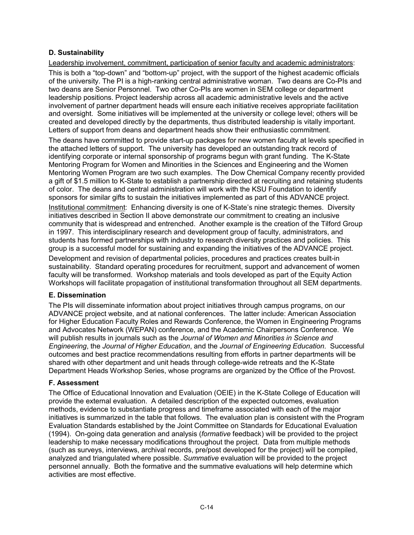### **D. Sustainability**

Leadership involvement, commitment, participation of senior faculty and academic administrators:

This is both a "top-down" and "bottom-up" project, with the support of the highest academic officials of the university. The PI is a high-ranking central administrative woman. Two deans are Co-PIs and two deans are Senior Personnel. Two other Co-PIs are women in SEM college or department leadership positions. Project leadership across all academic administrative levels and the active involvement of partner department heads will ensure each initiative receives appropriate facilitation and oversight. Some initiatives will be implemented at the university or college level; others will be created and developed directly by the departments, thus distributed leadership is vitally important. Letters of support from deans and department heads show their enthusiastic commitment.

The deans have committed to provide start-up packages for new women faculty at levels specified in the attached letters of support. The university has developed an outstanding track record of identifying corporate or internal sponsorship of programs begun with grant funding. The K-State Mentoring Program for Women and Minorities in the Sciences and Engineering and the Women Mentoring Women Program are two such examples. The Dow Chemical Company recently provided a gift of \$1.5 million to K-State to establish a partnership directed at recruiting and retaining students of color. The deans and central administration will work with the KSU Foundation to identify sponsors for similar gifts to sustain the initiatives implemented as part of this ADVANCE project.

Institutional commitment: Enhancing diversity is one of K-State's nine strategic themes. Diversity initiatives described in Section II above demonstrate our commitment to creating an inclusive community that is widespread and entrenched. Another example is the creation of the Tilford Group in 1997. This interdisciplinary research and development group of faculty, administrators, and students has formed partnerships with industry to research diversity practices and policies. This group is a successful model for sustaining and expanding the initiatives of the ADVANCE project.

Development and revision of departmental policies, procedures and practices creates built-in sustainability. Standard operating procedures for recruitment, support and advancement of women faculty will be transformed. Workshop materials and tools developed as part of the Equity Action Workshops will facilitate propagation of institutional transformation throughout all SEM departments.

### **E. Dissemination**

The PIs will disseminate information about project initiatives through campus programs, on our ADVANCE project website, and at national conferences. The latter include: American Association for Higher Education Faculty Roles and Rewards Conference, the Women in Engineering Programs and Advocates Network (WEPAN) conference, and the Academic Chairpersons Conference. We will publish results in journals such as the *Journal of Women and Minorities in Science and Engineering*, the *Journal of Higher Education*, and the *Journal of Engineering Education*. Successful outcomes and best practice recommendations resulting from efforts in partner departments will be shared with other department and unit heads through college-wide retreats and the K-State Department Heads Workshop Series, whose programs are organized by the Office of the Provost.

### **F. Assessment**

The Office of Educational Innovation and Evaluation (OEIE) in the K-State College of Education will provide the external evaluation. A detailed description of the expected outcomes, evaluation methods, evidence to substantiate progress and timeframe associated with each of the major initiatives is summarized in the table that follows. The evaluation plan is consistent with the Program Evaluation Standards established by the Joint Committee on Standards for Educational Evaluation (1994). On-going data generation and analysis (*formative* feedback) will be provided to the project leadership to make necessary modifications throughout the project. Data from multiple methods (such as surveys, interviews, archival records, pre/post developed for the project) will be compiled, analyzed and triangulated where possible. *Summative* evaluation will be provided to the project personnel annually. Both the formative and the summative evaluations will help determine which activities are most effective.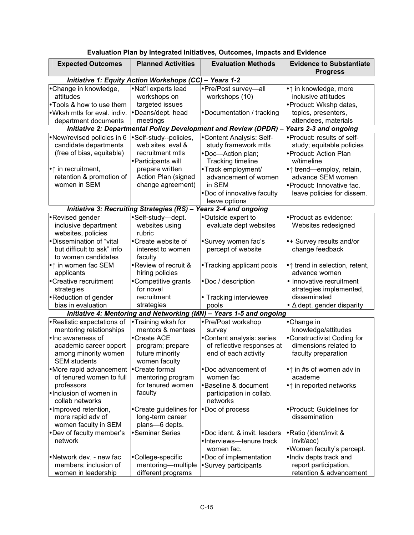| <b>Expected Outcomes</b>                                                                                                 | <b>Planned Activities</b>                                                                                                                                            | <b>Evaluation Methods</b>                                                                 | <b>Evidence to Substantiate</b><br><b>Progress</b>                                                                                       |  |  |
|--------------------------------------------------------------------------------------------------------------------------|----------------------------------------------------------------------------------------------------------------------------------------------------------------------|-------------------------------------------------------------------------------------------|------------------------------------------------------------------------------------------------------------------------------------------|--|--|
|                                                                                                                          | <b>Initiative 1: Equity Action Workshops (CC) - Years 1-2</b>                                                                                                        |                                                                                           |                                                                                                                                          |  |  |
| • Change in knowledge,<br>attitudes<br>• Tools & how to use them<br>. Wksh mtls for eval. indiv.<br>department documents | · Nat'l experts lead<br>workshops on<br>targeted issues<br>•Deans/dept. head<br>meetings                                                                             | • Pre/Post survey-all<br>workshops (10)<br>• Documentation / tracking                     | $\bullet$ $\uparrow$ in knowledge, more<br>inclusive attitudes<br>· Product: Wkshp dates,<br>topics, presenters,<br>attendees, materials |  |  |
|                                                                                                                          |                                                                                                                                                                      | Initiative 2: Departmental Policy Development and Review (DPDR) -                         | Years 2-3 and ongoing                                                                                                                    |  |  |
| •New/revised policies in 6                                                                                               | ·Self-study--policies,                                                                                                                                               | •Content Analysis: Self-                                                                  | ·Product: results of self-                                                                                                               |  |  |
| candidate departments<br>(free of bias, equitable)                                                                       | web sites, eval &<br>recruitment mtls<br>• Participants will                                                                                                         | study framework mtls<br>•Doc-Action plan;<br><b>Tracking timeline</b>                     | study; equitable policies<br>▶ Product: Action Plan<br>w/timeline                                                                        |  |  |
| $\bullet \uparrow$ in recruitment,<br>retention & promotion of<br>women in SEM                                           | prepare written<br>• Track employment/<br>Action Plan (signed<br>advancement of women<br>change agreement)<br>in SEM<br>• Doc of innovative faculty<br>leave options |                                                                                           | $\bullet \uparrow$ trend—employ, retain,<br>advance SEM women<br>· Product: Innovative fac.<br>leave policies for dissem.                |  |  |
| <b>Initiative 3: Recruiting Strategies (RS)</b>                                                                          |                                                                                                                                                                      | - Years 2-4 and ongoing                                                                   |                                                                                                                                          |  |  |
| •Revised gender<br>inclusive department<br>websites, policies                                                            | ·Self-study-dept.<br>websites using<br>rubric                                                                                                                        | •Outside expert to<br>evaluate dept websites                                              | • Product as evidence:<br>Websites redesigned                                                                                            |  |  |
| • Dissemination of "vital<br>but difficult to ask" info<br>to women candidates                                           | • Create website of<br>interest to women<br>faculty                                                                                                                  | •Survey women fac's<br>percept of website                                                 | •+ Survey results and/or<br>change feedback                                                                                              |  |  |
| $\bullet$ $\uparrow$ in women fac SEM<br>applicants                                                                      | • Review of recruit &<br>hiring policies                                                                                                                             | • Tracking applicant pools                                                                | $\bullet$ trend in selection, retent,<br>advance women                                                                                   |  |  |
| • Creative recruitment<br>strategies<br>• Reduction of gender                                                            | • Competitive grants<br>for novel<br>recruitment                                                                                                                     | ·Doc / description<br>• Tracking interviewee                                              | • Innovative recruitment<br>strategies implemented,<br>disseminated                                                                      |  |  |
| bias in evaluation                                                                                                       | strategies                                                                                                                                                           | pools                                                                                     | $\bullet$ $\Delta$ dept. gender disparity                                                                                                |  |  |
|                                                                                                                          |                                                                                                                                                                      | Initiative 4: Mentoring and Networking (MN) - Years 1-5 and ongoing                       |                                                                                                                                          |  |  |
| • Realistic expectations of<br>mentoring relationships<br>lnc awareness of<br>academic career opport                     | • Training wksh for<br>mentors & mentees<br>• Create ACE<br>program; prepare                                                                                         | ● Pre/Post workshop<br>survey<br>• Content analysis: series<br>of reflective responses at | •Change in<br>knowledge/attitudes<br>• Constructivist Coding for<br>dimensions related to                                                |  |  |
| among minority women<br><b>SEM students</b>                                                                              | future minority<br>women faculty                                                                                                                                     | end of each activity                                                                      | faculty preparation                                                                                                                      |  |  |
| •More rapid advancement • Create formal<br>of tenured women to full<br>professors                                        | mentoring program<br>for tenured women                                                                                                                               | •Doc advancement of<br>women fac<br><b>Baseline &amp; document</b>                        | $\bullet$ $\uparrow$ in #s of women adv in<br>academe<br>$\bullet$ $\uparrow$ in reported networks                                       |  |  |
| . Inclusion of women in<br>collab networks                                                                               | faculty                                                                                                                                                              | participation in collab.<br>networks                                                      |                                                                                                                                          |  |  |
| Improved retention,<br>more rapid adv of<br>women faculty in SEM                                                         | • Create guidelines for<br>long-term career<br>plans-6 depts.                                                                                                        | • Doc of process                                                                          | ▶ Product: Guidelines for<br>dissemination                                                                                               |  |  |
| • Dev of faculty member's<br>network                                                                                     | • Seminar Series                                                                                                                                                     | •Doc ident. & invit. leaders<br>•Interviews-tenure track<br>women fac.                    | • Ratio (ident/invit &<br>invit/acc)<br>. Women faculty's percept.                                                                       |  |  |
| • Network dev. - new fac<br>members; inclusion of<br>women in leadership                                                 | • College-specific<br>mentoring-multiple<br>different programs                                                                                                       | • Doc of implementation<br>• Survey participants                                          | . Indiv depts track and<br>report participation,<br>retention & advancement                                                              |  |  |

# **Evaluation Plan by Integrated Initiatives, Outcomes, Impacts and Evidence**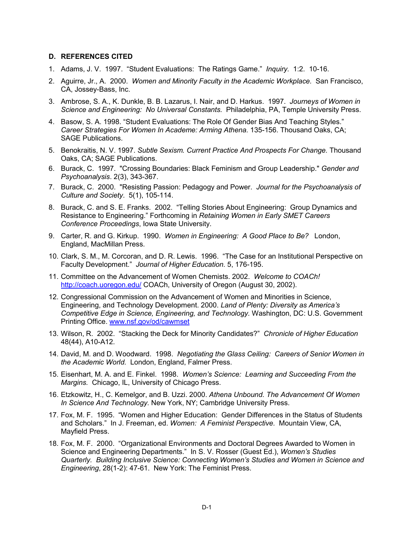#### **D. REFERENCES CITED**

- 1. Adams, J. V. 1997. "Student Evaluations: The Ratings Game." *Inquiry.* 1:2. 10-16.
- 2. Aguirre, Jr., A. 2000. *Women and Minority Faculty in the Academic Workplace.* San Francisco, CA, Jossey-Bass, Inc.
- 3. Ambrose, S. A., K. Dunkle, B. B. Lazarus, I. Nair, and D. Harkus. 1997. *Journeys of Women in Science and Engineering: No Universal Constants.* Philadelphia, PA, Temple University Press.
- 4. Basow, S. A. 1998. "Student Evaluations: The Role Of Gender Bias And Teaching Styles." *Career Strategies For Women In Academe: Arming Athena.* 135-156. Thousand Oaks, CA; SAGE Publications.
- 5. Benokraitis, N. V. 1997. *Subtle Sexism. Current Practice And Prospects For Change.* Thousand Oaks, CA; SAGE Publications.
- 6. Burack, C. 1997. "Crossing Boundaries: Black Feminism and Group Leadership." *Gender and Psychoanalysis*. 2(3), 343-367.
- 7. Burack, C. 2000. "Resisting Passion: Pedagogy and Power. *Journal for the Psychoanalysis of Culture and Society*. 5(1), 105-114.
- 8. Burack, C. and S. E. Franks. 2002. "Telling Stories About Engineering: Group Dynamics and Resistance to Engineering.î Forthcoming in *Retaining Women in Early SMET Careers Conference Proceedings*, Iowa State University.
- 9. Carter, R. and G. Kirkup. 1990. *Women in Engineering: A Good Place to Be?* London, England, MacMillan Press.
- 10. Clark, S. M., M. Corcoran, and D. R. Lewis. 1996. "The Case for an Institutional Perspective on Faculty Development.î *Journal of Higher Education.* 5, 176-195.
- 11. Committee on the Advancement of Women Chemists. 2002. *Welcome to COACh!* http://coach.uoregon.edu/ COACh, University of Oregon (August 30, 2002).
- 12. Congressional Commission on the Advancement of Women and Minorities in Science, Engineering, and Technology Development. 2000. *Land of Plenty: Diversity as Americaís Competitive Edge in Science, Engineering, and Technology.* Washington, DC: U.S. Government Printing Office. www.nsf.gov/od/cawmset
- 13. Wilson, R. 2002. "Stacking the Deck for Minority Candidates?" Chronicle of Higher Education 48(44), A10-A12.
- 14. David, M. and D. Woodward. 1998. *Negotiating the Glass Ceiling: Careers of Senior Women in the Academic World.* London, England, Falmer Press.
- 15. Eisenhart, M. A. and E. Finkel. 1998. *Womenís Science: Learning and Succeeding From the Margins.* Chicago, IL, University of Chicago Press.
- 16. Etzkowitz, H., C. Kemelgor, and B. Uzzi. 2000. *Athena Unbound. The Advancement Of Women In Science And Technology.* New York, NY; Cambridge University Press.
- 17. Fox, M. F. 1995. "Women and Higher Education: Gender Differences in the Status of Students and Scholars.î In J. Freeman, ed. *Women: A Feminist Perspective.* Mountain View, CA, Mayfield Press.
- 18. Fox, M. F. 2000. "Organizational Environments and Doctoral Degrees Awarded to Women in Science and Engineering Departments.î In S. V. Rosser (Guest Ed.), *Womenís Studies Quarterly. Building Inclusive Science: Connecting Womenís Studies and Women in Science and Engineering*, 28(1-2): 47-61. New York: The Feminist Press.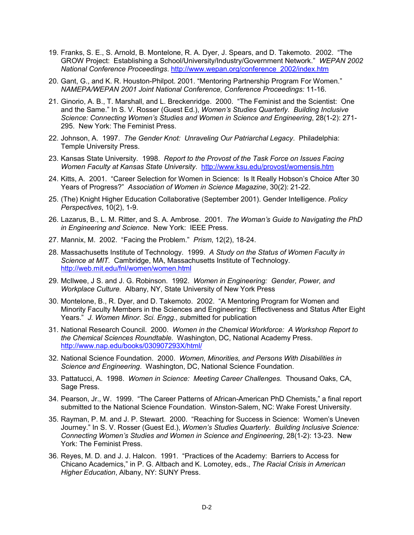- 19. Franks, S. E., S. Arnold, B. Montelone, R. A. Dyer, J. Spears, and D. Takemoto. 2002. "The GROW Project: Establishing a School/University/Industry/Government Network.î *WEPAN 2002 National Conference Proceedings*. http://www.wepan.org/conference\_2002/index.htm
- 20. Gant, G., and K. R. Houston-Philpot. 2001. "Mentoring Partnership Program For Women." *NAMEPA/WEPAN 2001 Joint National Conference, Conference Proceedings:* 11-16.
- 21. Ginorio, A. B., T. Marshall, and L. Breckenridge. 2000. "The Feminist and the Scientist: One and the Same.î In S. V. Rosser (Guest Ed.), *Womenís Studies Quarterly. Building Inclusive Science: Connecting Womenís Studies and Women in Science and Engineering*, 28(1-2): 271- 295. New York: The Feminist Press.
- 22. Johnson, A. 1997. *The Gender Knot: Unraveling Our Patriarchal Legacy*. Philadelphia: Temple University Press.
- 23. Kansas State University. 1998. *Report to the Provost of the Task Force on Issues Facing Women Faculty at Kansas State University*. http://www.ksu.edu/provost/womensis.htm
- 24. Kitts, A. 2001. "Career Selection for Women in Science: Is It Really Hobson's Choice After 30 Years of Progress?î *Association of Women in Science Magazine*, 30(2): 21-22.
- 25. (The) Knight Higher Education Collaborative (September 2001). Gender Intelligence. *Policy Perspectives*, 10(2), 1-9.
- 26. Lazarus, B., L. M. Ritter, and S. A. Ambrose. 2001. *The Womanís Guide to Navigating the PhD in Engineering and Science*. New York: IEEE Press.
- 27. Mannix, M. 2002. "Facing the Problem." *Prism*, 12(2), 18-24.
- 28. Massachusetts Institute of Technology. 1999. *A Study on the Status of Women Faculty in Science at MIT.* Cambridge, MA, Massachusetts Institute of Technology. http://web.mit.edu/fnl/women/women.html
- 29. McIlwee, J S. and J. G. Robinson. 1992. *Women in Engineering: Gender, Power, and Workplace Culture.* Albany, NY, State University of New York Press
- 30. Montelone, B., R. Dyer, and D. Takemoto. 2002. "A Mentoring Program for Women and Minority Faculty Members in the Sciences and Engineering: Effectiveness and Status After Eight Years.î *J. Women Minor. Sci. Engg., s*ubmitted for publication
- 31. National Research Council. 2000. *Women in the Chemical Workforce: A Workshop Report to the Chemical Sciences Roundtable.* Washington, DC, National Academy Press. http://www.nap.edu/books/030907293X/html/
- 32. National Science Foundation. 2000. *Women, Minorities, and Persons With Disabilities in Science and Engineering*. Washington, DC, National Science Foundation.
- 33. Pattatucci, A. 1998. *Women in Science: Meeting Career Challenges.* Thousand Oaks, CA, Sage Press.
- 34. Pearson, Jr., W. 1999. "The Career Patterns of African-American PhD Chemists," a final report submitted to the National Science Foundation. Winston-Salem, NC: Wake Forest University.
- 35. Rayman, P. M. and J. P. Stewart. 2000. "Reaching for Success in Science: Women's Uneven Journey." In S. V. Rosser (Guest Ed.), *Women's Studies Quarterly. Building Inclusive Science: Connecting Womenís Studies and Women in Science and Engineering*, 28(1-2): 13-23. New York: The Feminist Press.
- 36. Reyes, M. D. and J. J. Halcon. 1991. "Practices of the Academy: Barriers to Access for Chicano Academics,î in P. G. Altbach and K. Lomotey, eds., *The Racial Crisis in American Higher Education*, Albany, NY: SUNY Press.